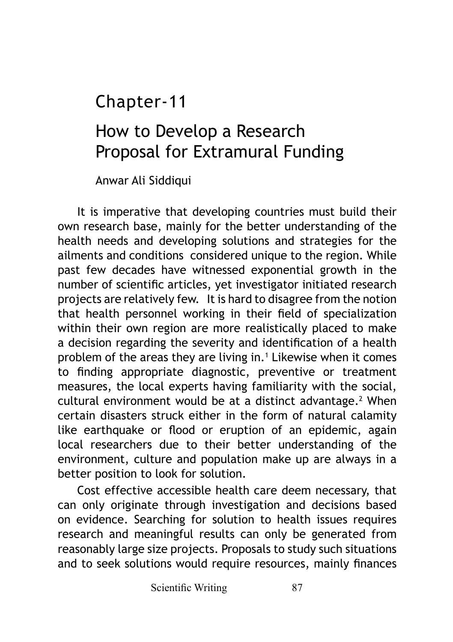## Chapter-11

# How to Develop a Research Proposal for Extramural Funding

Anwar Ali Siddiqui

It is imperative that developing countries must build their own research base, mainly for the better understanding of the health needs and developing solutions and strategies for the ailments and conditions considered unique to the region. While past few decades have witnessed exponential growth in the number of scientific articles, yet investigator initiated research projects are relatively few. It is hard to disagree from the notion that health personnel working in their field of specialization within their own region are more realistically placed to make a decision regarding the severity and identification of a health problem of the areas they are living in.<sup>1</sup> Likewise when it comes to finding appropriate diagnostic, preventive or treatment measures, the local experts having familiarity with the social, cultural environment would be at a distinct advantage.<sup>2</sup> When certain disasters struck either in the form of natural calamity like earthquake or flood or eruption of an epidemic, again local researchers due to their better understanding of the environment, culture and population make up are always in a better position to look for solution.

Cost effective accessible health care deem necessary, that can only originate through investigation and decisions based on evidence. Searching for solution to health issues requires research and meaningful results can only be generated from reasonably large size projects. Proposals to study such situations and to seek solutions would require resources, mainly finances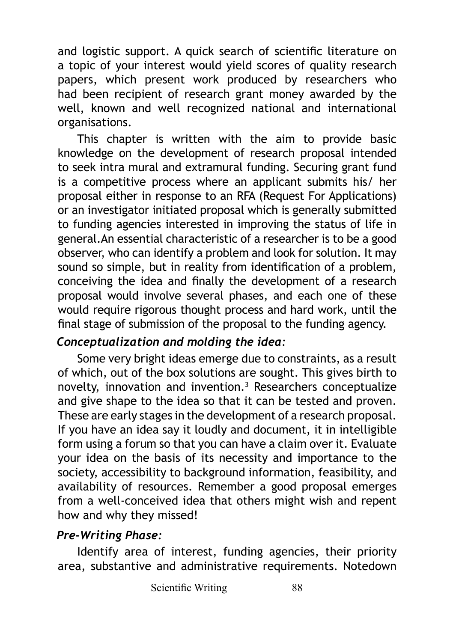and logistic support. A quick search of scientific literature on a topic of your interest would yield scores of quality research papers, which present work produced by researchers who had been recipient of research grant money awarded by the well, known and well recognized national and international organisations.

This chapter is written with the aim to provide basic knowledge on the development of research proposal intended to seek intra mural and extramural funding. Securing grant fund is a competitive process where an applicant submits his/ her proposal either in response to an RFA (Request For Applications) or an investigator initiated proposal which is generally submitted to funding agencies interested in improving the status of life in general.An essential characteristic of a researcher is to be a good observer, who can identify a problem and look for solution. It may sound so simple, but in reality from identification of a problem, conceiving the idea and finally the development of a research proposal would involve several phases, and each one of these would require rigorous thought process and hard work, until the final stage of submission of the proposal to the funding agency.

#### *Conceptualization and molding the idea:*

Some very bright ideas emerge due to constraints, as a result of which, out of the box solutions are sought. This gives birth to novelty, innovation and invention.3 Researchers conceptualize and give shape to the idea so that it can be tested and proven. These are early stages in the development of a research proposal. If you have an idea say it loudly and document, it in intelligible form using a forum so that you can have a claim over it. Evaluate your idea on the basis of its necessity and importance to the society, accessibility to background information, feasibility, and availability of resources. Remember a good proposal emerges from a well-conceived idea that others might wish and repent how and why they missed!

#### *Pre-Writing Phase:*

Identify area of interest, funding agencies, their priority area, substantive and administrative requirements. Notedown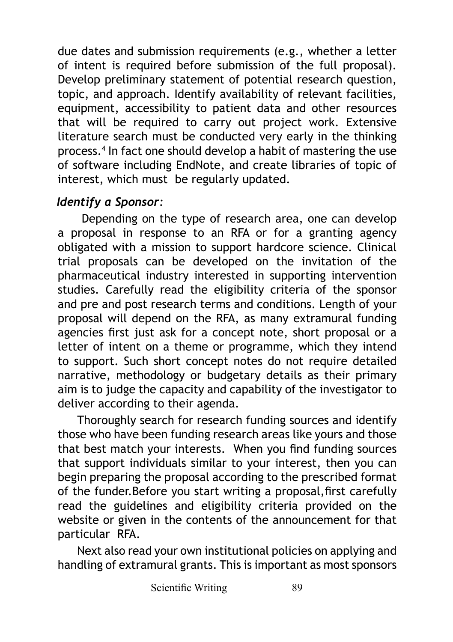due dates and submission requirements (e.g., whether a letter of intent is required before submission of the full proposal). Develop preliminary statement of potential research question, topic, and approach. Identify availability of relevant facilities, equipment, accessibility to patient data and other resources that will be required to carry out project work. Extensive literature search must be conducted very early in the thinking process.4 In fact one should develop a habit of mastering the use of software including EndNote, and create libraries of topic of interest, which must be regularly updated.

#### *Identify a Sponsor:*

 Depending on the type of research area, one can develop a proposal in response to an RFA or for a granting agency obligated with a mission to support hardcore science. Clinical trial proposals can be developed on the invitation of the pharmaceutical industry interested in supporting intervention studies. Carefully read the eligibility criteria of the sponsor and pre and post research terms and conditions. Length of your proposal will depend on the RFA, as many extramural funding agencies first just ask for a concept note, short proposal or a letter of intent on a theme or programme, which they intend to support. Such short concept notes do not require detailed narrative, methodology or budgetary details as their primary aim is to judge the capacity and capability of the investigator to deliver according to their agenda.

Thoroughly search for research funding sources and identify those who have been funding research areas like yours and those that best match your interests. When you find funding sources that support individuals similar to your interest, then you can begin preparing the proposal according to the prescribed format of the funder.Before you start writing a proposal,first carefully read the guidelines and eligibility criteria provided on the website or given in the contents of the announcement for that particular RFA.

Next also read your own institutional policies on applying and handling of extramural grants. This is important as most sponsors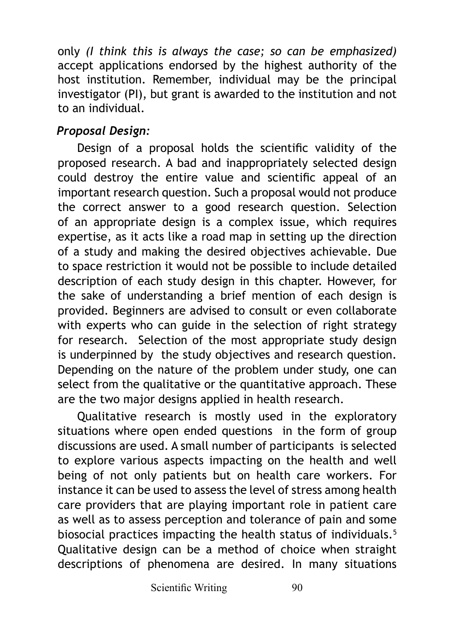only *(I think this is always the case; so can be emphasized)* accept applications endorsed by the highest authority of the host institution. Remember, individual may be the principal investigator (PI), but grant is awarded to the institution and not to an individual.

### *Proposal Design:*

Design of a proposal holds the scientific validity of the proposed research. A bad and inappropriately selected design could destroy the entire value and scientific appeal of an important research question. Such a proposal would not produce the correct answer to a good research question. Selection of an appropriate design is a complex issue, which requires expertise, as it acts like a road map in setting up the direction of a study and making the desired objectives achievable. Due to space restriction it would not be possible to include detailed description of each study design in this chapter. However, for the sake of understanding a brief mention of each design is provided. Beginners are advised to consult or even collaborate with experts who can guide in the selection of right strategy for research. Selection of the most appropriate study design is underpinned by the study objectives and research question. Depending on the nature of the problem under study, one can select from the qualitative or the quantitative approach. These are the two major designs applied in health research.

Qualitative research is mostly used in the exploratory situations where open ended questions in the form of group discussions are used. A small number of participants is selected to explore various aspects impacting on the health and well being of not only patients but on health care workers. For instance it can be used to assess the level of stress among health care providers that are playing important role in patient care as well as to assess perception and tolerance of pain and some biosocial practices impacting the health status of individuals.<sup>5</sup> Qualitative design can be a method of choice when straight descriptions of phenomena are desired. In many situations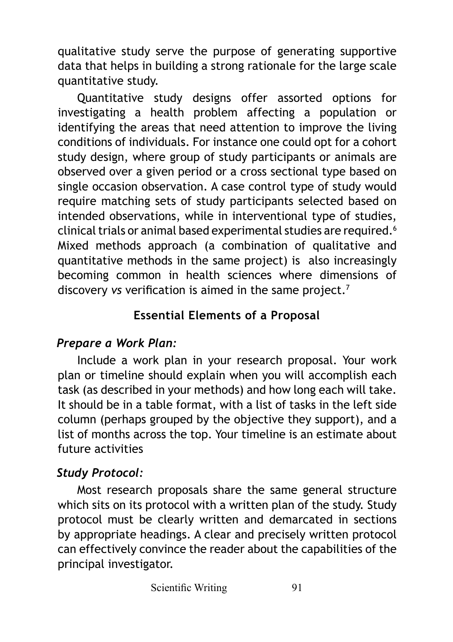qualitative study serve the purpose of generating supportive data that helps in building a strong rationale for the large scale quantitative study.

Quantitative study designs offer assorted options for investigating a health problem affecting a population or identifying the areas that need attention to improve the living conditions of individuals. For instance one could opt for a cohort study design, where group of study participants or animals are observed over a given period or a cross sectional type based on single occasion observation. A case control type of study would require matching sets of study participants selected based on intended observations, while in interventional type of studies, clinical trials or animal based experimental studies are required.<sup>6</sup> Mixed methods approach (a combination of qualitative and quantitative methods in the same project) is also increasingly becoming common in health sciences where dimensions of discovery *vs* verification is aimed in the same project.<sup>7</sup>

### **Essential Elements of a Proposal**

### *Prepare a Work Plan:*

Include a work plan in your research proposal. Your work plan or timeline should explain when you will accomplish each task (as described in your methods) and how long each will take. It should be in a table format, with a list of tasks in the left side column (perhaps grouped by the objective they support), and a list of months across the top. Your timeline is an estimate about future activities

### *Study Protocol:*

Most research proposals share the same general structure which sits on its protocol with a written plan of the study. Study protocol must be clearly written and demarcated in sections by appropriate headings. A clear and precisely written protocol can effectively convince the reader about the capabilities of the principal investigator.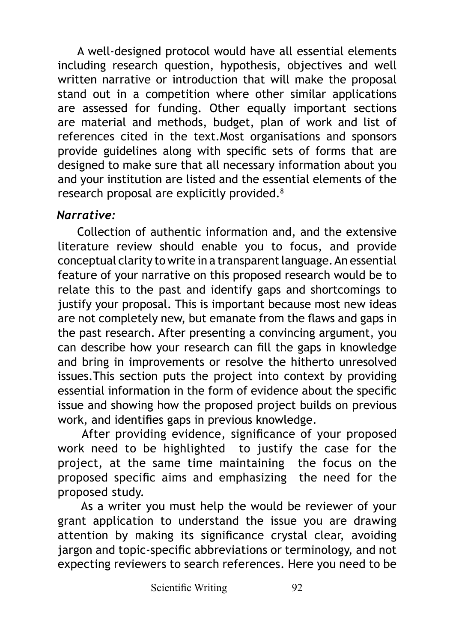A well-designed protocol would have all essential elements including research question, hypothesis, objectives and well written narrative or introduction that will make the proposal stand out in a competition where other similar applications are assessed for funding. Other equally important sections are material and methods, budget, plan of work and list of references cited in the text.Most organisations and sponsors provide guidelines along with specific sets of forms that are designed to make sure that all necessary information about you and your institution are listed and the essential elements of the research proposal are explicitly provided.<sup>8</sup>

#### *Narrative:*

Collection of authentic information and, and the extensive literature review should enable you to focus, and provide conceptual clarity to write in a transparent language. An essential feature of your narrative on this proposed research would be to relate this to the past and identify gaps and shortcomings to justify your proposal. This is important because most new ideas are not completely new, but emanate from the flaws and gaps in the past research. After presenting a convincing argument, you can describe how your research can fill the gaps in knowledge and bring in improvements or resolve the hitherto unresolved issues.This section puts the project into context by providing essential information in the form of evidence about the specific issue and showing how the proposed project builds on previous work, and identifies gaps in previous knowledge.

 After providing evidence, significance of your proposed work need to be highlighted to justify the case for the project, at the same time maintaining the focus on the proposed specific aims and emphasizing the need for the proposed study.

 As a writer you must help the would be reviewer of your grant application to understand the issue you are drawing attention by making its significance crystal clear, avoiding jargon and topic-specific abbreviations or terminology, and not expecting reviewers to search references. Here you need to be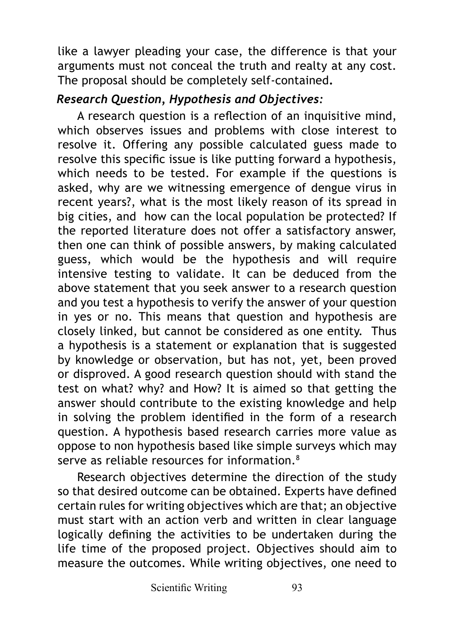like a lawyer pleading your case, the difference is that your arguments must not conceal the truth and realty at any cost. The proposal should be completely self-contained**.**

#### *Research Question, Hypothesis and Objectives:*

A research question is a reflection of an inquisitive mind, which observes issues and problems with close interest to resolve it. Offering any possible calculated guess made to resolve this specific issue is like putting forward a hypothesis, which needs to be tested. For example if the questions is asked, why are we witnessing emergence of dengue virus in recent years?, what is the most likely reason of its spread in big cities, and how can the local population be protected? If the reported literature does not offer a satisfactory answer, then one can think of possible answers, by making calculated guess, which would be the hypothesis and will require intensive testing to validate. It can be deduced from the above statement that you seek answer to a research question and you test a hypothesis to verify the answer of your question in yes or no. This means that question and hypothesis are closely linked, but cannot be considered as one entity. Thus a hypothesis is a statement or explanation that is suggested by knowledge or observation, but has not, yet, been proved or disproved. A good research question should with stand the test on what? why? and How? It is aimed so that getting the answer should contribute to the existing knowledge and help in solving the problem identified in the form of a research question. A hypothesis based research carries more value as oppose to non hypothesis based like simple surveys which may serve as reliable resources for information 8

Research objectives determine the direction of the study so that desired outcome can be obtained. Experts have defined certain rules for writing objectives which are that; an objective must start with an action verb and written in clear language logically defining the activities to be undertaken during the life time of the proposed project. Objectives should aim to measure the outcomes. While writing objectives, one need to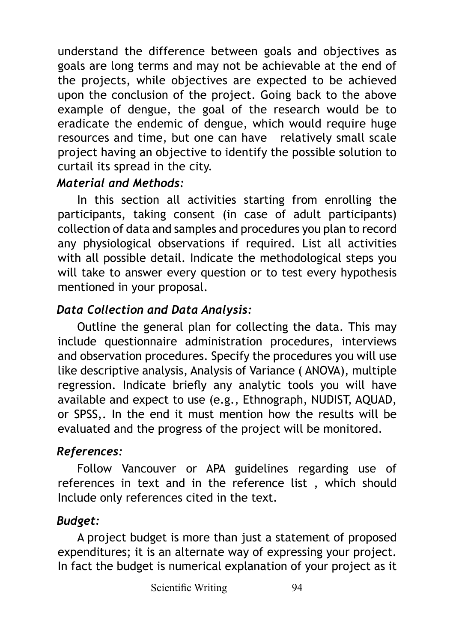understand the difference between goals and objectives as goals are long terms and may not be achievable at the end of the projects, while objectives are expected to be achieved upon the conclusion of the project. Going back to the above example of dengue, the goal of the research would be to eradicate the endemic of dengue, which would require huge resources and time, but one can have relatively small scale project having an objective to identify the possible solution to curtail its spread in the city.

#### *Material and Methods:*

In this section all activities starting from enrolling the participants, taking consent (in case of adult participants) collection of data and samples and procedures you plan to record any physiological observations if required. List all activities with all possible detail. Indicate the methodological steps you will take to answer every question or to test every hypothesis mentioned in your proposal.

## *Data Collection and Data Analysis:*

Outline the general plan for collecting the data. This may include questionnaire administration procedures, interviews and observation procedures. Specify the procedures you will use like descriptive analysis, Analysis of Variance ( ANOVA), multiple regression. Indicate briefly any analytic tools you will have available and expect to use (e.g., Ethnograph, NUDIST, AQUAD, or SPSS,. In the end it must mention how the results will be evaluated and the progress of the project will be monitored.

## *References:*

Follow Vancouver or APA guidelines regarding use of references in text and in the reference list , which should Include only references cited in the text.

## *Budget:*

A project budget is more than just a statement of proposed expenditures; it is an alternate way of expressing your project. In fact the budget is numerical explanation of your project as it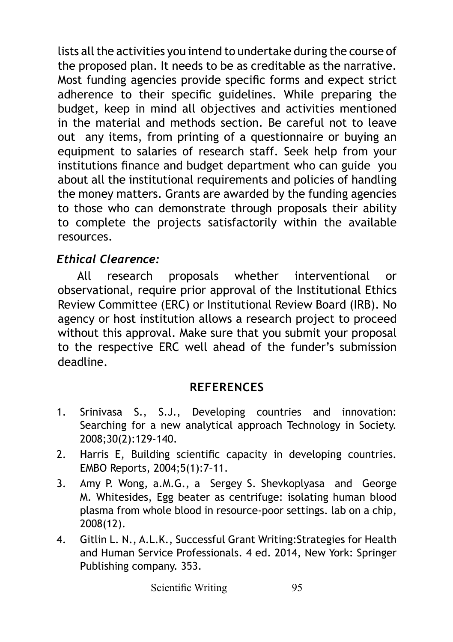lists all the activities you intend to undertake during the course of the proposed plan. It needs to be as creditable as the narrative. Most funding agencies provide specific forms and expect strict adherence to their specific guidelines. While preparing the budget, keep in mind all objectives and activities mentioned in the material and methods section. Be careful not to leave out any items, from printing of a questionnaire or buying an equipment to salaries of research staff. Seek help from your institutions finance and budget department who can guide you about all the institutional requirements and policies of handling the money matters. Grants are awarded by the funding agencies to those who can demonstrate through proposals their ability to complete the projects satisfactorily within the available resources.

#### *Ethical Clearence:*

All research proposals whether interventional or observational, require prior approval of the Institutional Ethics Review Committee (ERC) or Institutional Review Board (IRB). No agency or host institution allows a research project to proceed without this approval. Make sure that you submit your proposal to the respective ERC well ahead of the funder's submission deadline.

### **REFERENCES**

- 1. Srinivasa S., S.J., Developing countries and innovation: Searching for a new analytical approach Technology in Society. 2008;30(2):129-140.
- 2. Harris E, Building scientific capacity in developing countries. EMBO Reports, 2004;5(1):7–11.
- 3. Amy P. Wong, a.M.G., a Sergey S. Shevkoplyasa and George M. Whitesides, Egg beater as centrifuge: isolating human blood plasma from whole blood in resource-poor settings. lab on a chip, 2008(12).
- 4. Gitlin L. N., A.L.K., Successful Grant Writing:Strategies for Health and Human Service Professionals. 4 ed. 2014, New York: Springer Publishing company. 353.